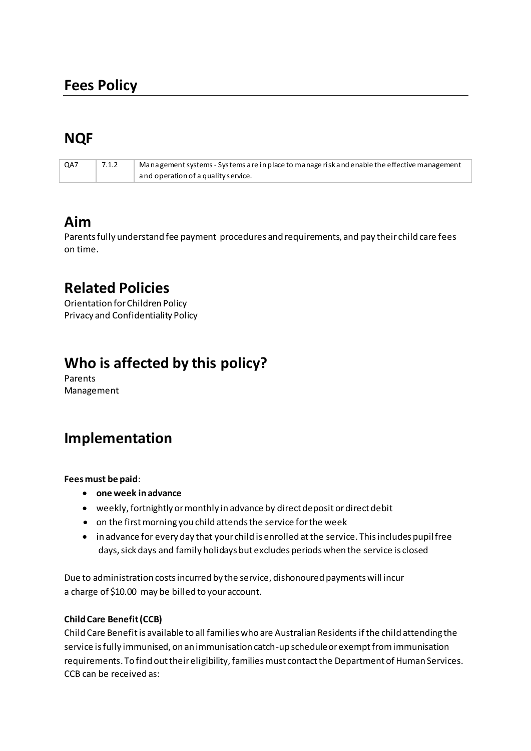# **NQF**

| QA7 | 7.1.2 | Management systems - Systems are in place to manage risk and enable the effective management |
|-----|-------|----------------------------------------------------------------------------------------------|
|     |       | and operation of a quality service.                                                          |

## **Aim**

Parents fully understand fee payment procedures and requirements, and pay their child care fees on time.

## **Related Policies**

Orientation for Children Policy Privacy and Confidentiality Policy

# **Who is affected by this policy?**

Parents Management

# **Implementation**

### **Fees must be paid**:

- **one week in advance**
- weekly, fortnightly or monthly in advance by direct deposit or direct debit
- on the first morning you child attends the service for the week
- in advance for every day that your child is enrolled at the service. This includes pupil free days, sick days and family holidays but excludes periods when the service is closed

Due to administration costs incurred by the service, dishonoured payments will incur a charge of \$10.00 may be billed to your account.

### **Child Care Benefit (CCB)**

Child Care Benefit is available to all families who are Australian Residents if the child attending the service is fully immunised, on an immunisation catch-up schedule or exempt from immunisation requirements. To find out their eligibility, families must contact the Department of Human Services. CCB can be received as: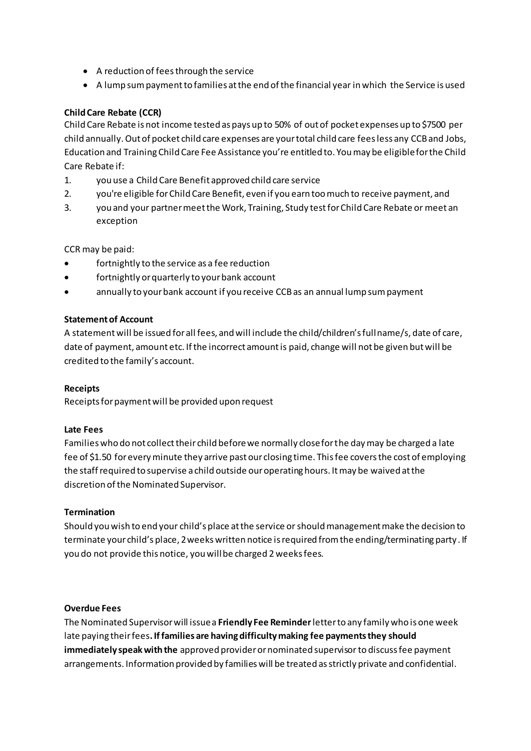- A reduction of fees through the service
- A lump sum payment to families at the end of the financial year in which the Service is used

#### **Child Care Rebate (CCR)**

Child Care Rebate is not income tested as pays up to 50% of out of pocket expenses up to \$7500 per child annually. Out of pocket child care expenses are your total child care fees less any CCB and Jobs, Education and Training Child Care Fee Assistance you're entitled to. You may be eligible for the Child Care Rebate if:

- $1.$ you use a Child Care Benefit approved child care service
- $2<sup>1</sup>$ you're eligible for Child Care Benefit, even if you earn too much to receive payment, and
- $3<sub>1</sub>$ you and your partner meet the Work, Training, Study test for Child Care Rebate or meet an exception

CCR may be paid:

- fortnightly to the service as a fee reduction
- $\bullet$ fortnightly or quarterly to your bank account
- annually to your bank account if you receive CCB as an annual lump sum payment

#### **Statement of Account**

A statement will be issued for all fees, and will include the child/children's full name/s, date of care, date of payment, amount etc. If the incorrect amount is paid, change will not be given but will be credited to the family's account.

#### **Receipts**

Receipts for payment will be provided upon request

#### **Late Fees**

Families who do not collect their child before we normally close for the day may be charged a late fee of \$1.50 for every minute they arrive past our closing time. This fee covers the cost of employing the staff required to supervise a child outside our operating hours. It may be waived at the discretion of the Nominated Supervisor.

#### **Termination**

Should you wish to end your child's place at the service or should management make the decision to terminate your child's place, 2 weeks written notice is required from the ending/terminating party. If you do not provide this notice, you will be charged 2 weeks fees.

#### **Overdue Fees**

The Nominated Supervisor will issue a Friendly Fee Reminder letter to any family who is one week late paying their fees. If families are having difficulty making fee payments they should immediately speak with the approved provider or nominated supervisor to discuss fee payment arrangements. Information provided by families will be treated as strictly private and confidential.